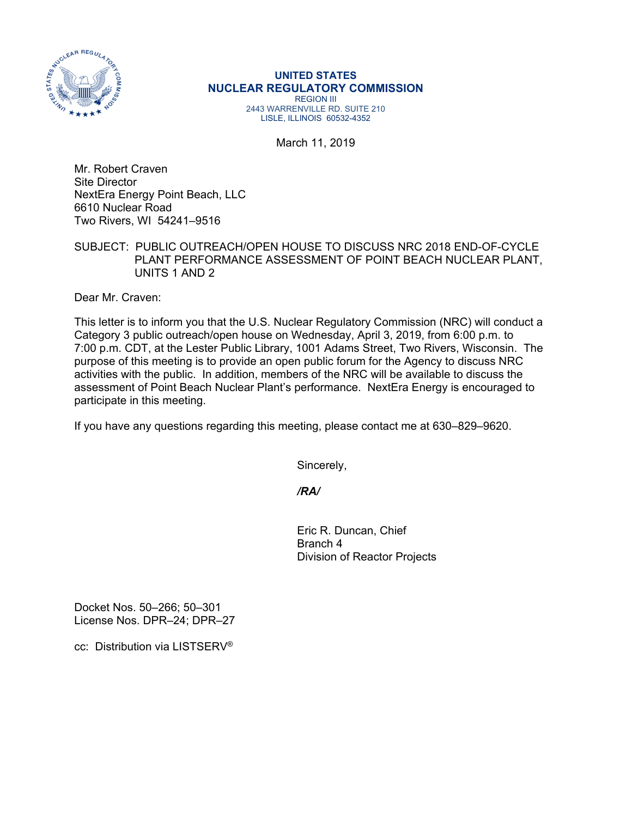

## **UNITED STATES NUCLEAR REGULATORY COMMISSION**  REGION III 2443 WARRENVILLE RD. SUITE 210 LISLE, ILLINOIS 60532-4352

March 11, 2019

Mr. Robert Craven Site Director NextEra Energy Point Beach, LLC 6610 Nuclear Road Two Rivers, WI 54241–9516

## SUBJECT: PUBLIC OUTREACH/OPEN HOUSE TO DISCUSS NRC 2018 END-OF-CYCLE PLANT PERFORMANCE ASSESSMENT OF POINT BEACH NUCLEAR PLANT, UNITS 1 AND 2

Dear Mr. Craven:

This letter is to inform you that the U.S. Nuclear Regulatory Commission (NRC) will conduct a Category 3 public outreach/open house on Wednesday, April 3, 2019, from 6:00 p.m. to 7:00 p.m. CDT, at the Lester Public Library, 1001 Adams Street, Two Rivers, Wisconsin. The purpose of this meeting is to provide an open public forum for the Agency to discuss NRC activities with the public. In addition, members of the NRC will be available to discuss the assessment of Point Beach Nuclear Plant's performance. NextEra Energy is encouraged to participate in this meeting.

If you have any questions regarding this meeting, please contact me at 630–829–9620.

Sincerely,

 */RA/* 

Eric R. Duncan, Chief Branch 4 Division of Reactor Projects

Docket Nos. 50–266; 50–301 License Nos. DPR–24; DPR–27

cc: Distribution via LISTSERV®